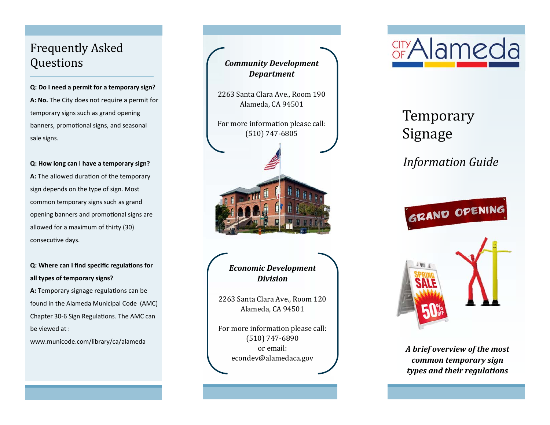#### Frequently Asked Questions

**Q: Do I need a permit for a temporary sign? A: No.** The City does not require <sup>a</sup> permit for temporary signs such as grand opening banners, promotional signs, and seasonal sale signs.

**Q: How long can I have a temporary sign?**

**A:** The allowed duration of the temporary sign depends on the type of sign. Most common temporary signs such as grand opening banners and promotional signs are allowed for <sup>a</sup> maximum of thirty (30) consecuƟve days.

#### **Q:** Where can I find specific regulations for **all types of temporary signs?**

A: Temporary signage regulations can be found in the Alameda Municipal Code (AMC) Chapter 30-6 Sign Regulations. The AMC can be viewed at :

www.municode.com/library/ca/alameda





2263 Santa Clara Ave., Room 120 Alameda, CA 94501

For more information please call: (510) 747‐6890 or email: econdev@alamedaca.gov 



# Temporary Signage

### *Information Guide*



*A brief overview of the most common temporary sign types and their regulations*